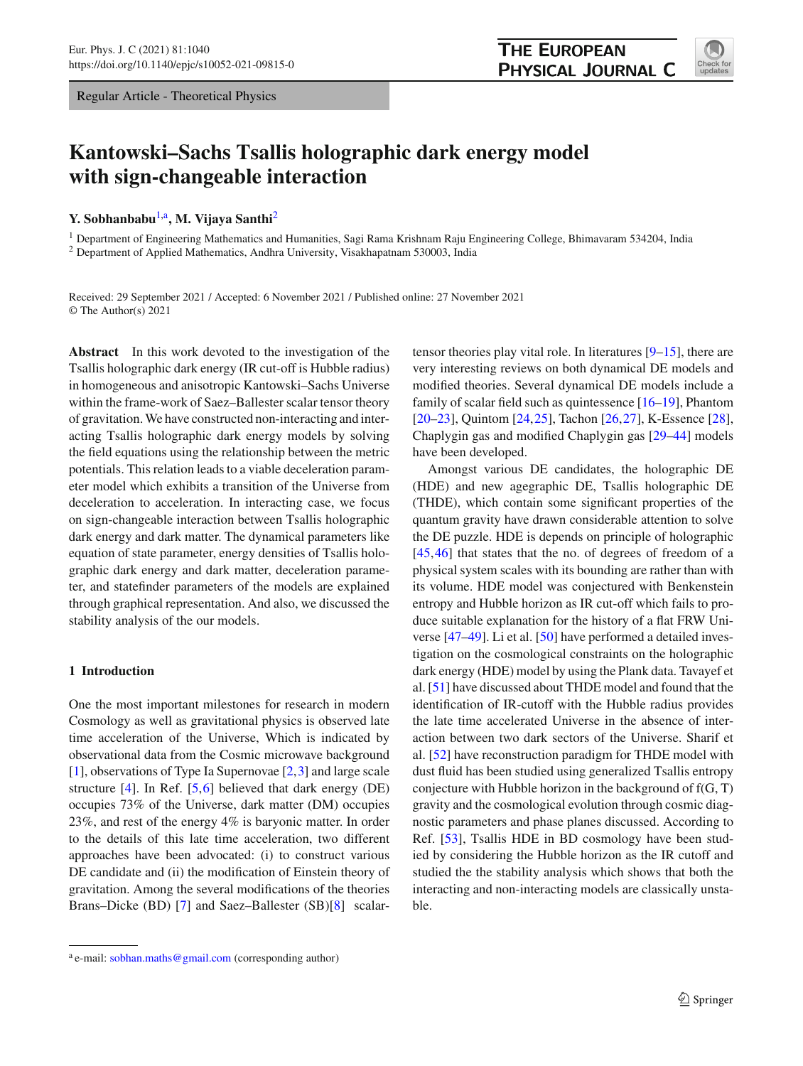Regular Article - Theoretical Physics

<span id="page-0-0"></span>

# **Kantowski–Sachs Tsallis holographic dark energy model with sign-changeable interaction**

## **Y. Sobhanbabu<sup>[1,](#page-0-0)a</sup>, M. Vijaya Santhi<sup>[2](#page-0-0)</sup>**

<sup>1</sup> Department of Engineering Mathematics and Humanities, Sagi Rama Krishnam Raju Engineering College, Bhimavaram 534204, India <sup>2</sup> Department of Applied Mathematics, Andhra University, Visakhapatnam 530003, India

Received: 29 September 2021 / Accepted: 6 November 2021 / Published online: 27 November 2021 © The Author(s) 2021

**Abstract** In this work devoted to the investigation of the Tsallis holographic dark energy (IR cut-off is Hubble radius) in homogeneous and anisotropic Kantowski–Sachs Universe within the frame-work of Saez–Ballester scalar tensor theory of gravitation. We have constructed non-interacting and interacting Tsallis holographic dark energy models by solving the field equations using the relationship between the metric potentials. This relation leads to a viable deceleration parameter model which exhibits a transition of the Universe from deceleration to acceleration. In interacting case, we focus on sign-changeable interaction between Tsallis holographic dark energy and dark matter. The dynamical parameters like equation of state parameter, energy densities of Tsallis holographic dark energy and dark matter, deceleration parameter, and statefinder parameters of the models are explained through graphical representation. And also, we discussed the stability analysis of the our models.

## **1 Introduction**

One the most important milestones for research in modern Cosmology as well as gravitational physics is observed late time acceleration of the Universe, Which is indicated by observational data from the Cosmic microwave background [\[1](#page-9-0)], observations of Type Ia Supernovae [\[2,](#page-9-1)[3\]](#page-9-2) and large scale structure  $[4]$ . In Ref.  $[5,6]$  $[5,6]$  $[5,6]$  believed that dark energy (DE) occupies 73% of the Universe, dark matter (DM) occupies 23%, and rest of the energy 4% is baryonic matter. In order to the details of this late time acceleration, two different approaches have been advocated: (i) to construct various DE candidate and (ii) the modification of Einstein theory of gravitation. Among the several modifications of the theories Brans–Dicke (BD) [\[7\]](#page-9-6) and Saez–Ballester (SB)[\[8\]](#page-9-7) scalartensor theories play vital role. In literatures [\[9](#page-9-8)[–15\]](#page-9-9), there are very interesting reviews on both dynamical DE models and modified theories. Several dynamical DE models include a family of scalar field such as quintessence [\[16](#page-9-10)[–19](#page-9-11)], Phantom [\[20](#page-9-12)[–23](#page-9-13)], Quintom [\[24](#page-9-14),[25\]](#page-9-15), Tachon [\[26](#page-9-16)[,27](#page-9-17)], K-Essence [\[28](#page-9-18)], Chaplygin gas and modified Chaplygin gas [\[29](#page-9-19)[–44\]](#page-9-20) models have been developed.

Amongst various DE candidates, the holographic DE (HDE) and new agegraphic DE, Tsallis holographic DE (THDE), which contain some significant properties of the quantum gravity have drawn considerable attention to solve the DE puzzle. HDE is depends on principle of holographic [\[45](#page-9-21),[46\]](#page-9-22) that states that the no. of degrees of freedom of a physical system scales with its bounding are rather than with its volume. HDE model was conjectured with Benkenstein entropy and Hubble horizon as IR cut-off which fails to produce suitable explanation for the history of a flat FRW Universe [\[47](#page-9-23)[–49](#page-9-24)]. Li et al. [\[50\]](#page-9-25) have performed a detailed investigation on the cosmological constraints on the holographic dark energy (HDE) model by using the Plank data. Tavayef et al. [\[51\]](#page-9-26) have discussed about THDE model and found that the identification of IR-cutoff with the Hubble radius provides the late time accelerated Universe in the absence of interaction between two dark sectors of the Universe. Sharif et al. [\[52](#page-9-27)] have reconstruction paradigm for THDE model with dust fluid has been studied using generalized Tsallis entropy conjecture with Hubble horizon in the background of  $f(G, T)$ gravity and the cosmological evolution through cosmic diagnostic parameters and phase planes discussed. According to Ref. [\[53\]](#page-9-28), Tsallis HDE in BD cosmology have been studied by considering the Hubble horizon as the IR cutoff and studied the the stability analysis which shows that both the interacting and non-interacting models are classically unstable.

<sup>&</sup>lt;sup>a</sup> e-mail: [sobhan.maths@gmail.com](mailto:sobhan.maths@gmail.com) (corresponding author)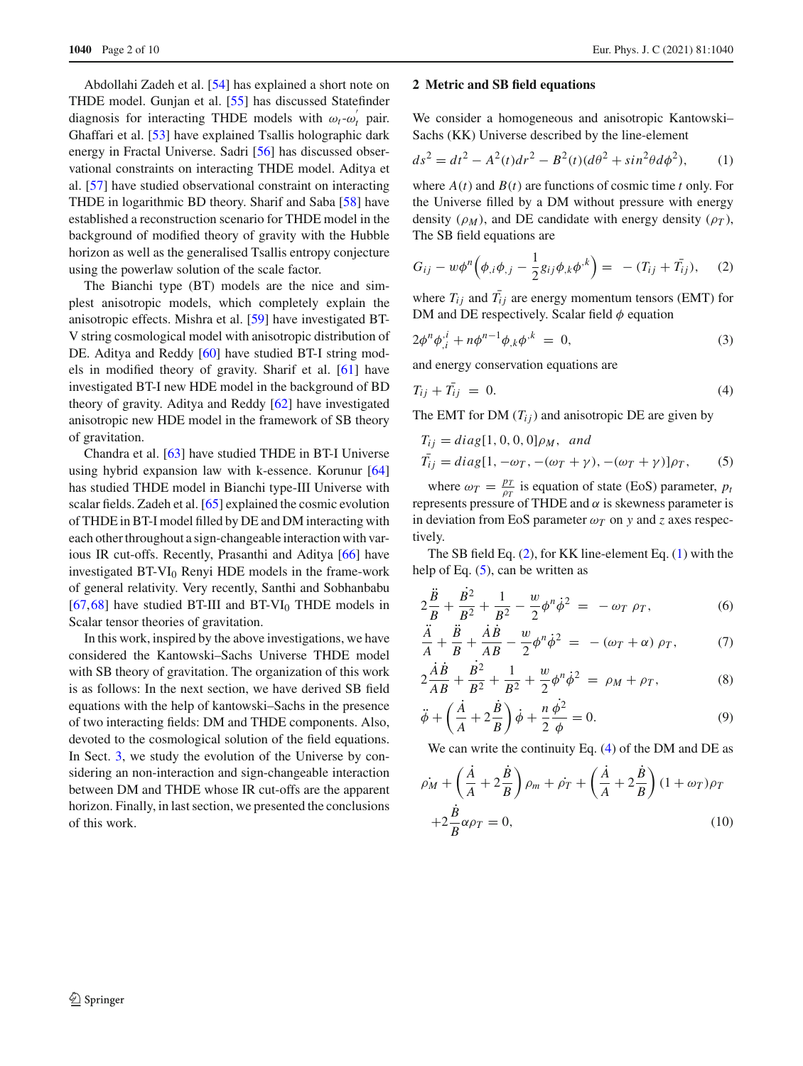Abdollahi Zadeh et al. [\[54](#page-9-29)] has explained a short note on THDE model. Gunjan et al. [\[55](#page-9-30)] has discussed Statefinder diagnosis for interacting THDE models with  $\omega_t - \omega'_t$  pair. Ghaffari et al. [\[53\]](#page-9-28) have explained Tsallis holographic dark energy in Fractal Universe. Sadri [\[56\]](#page-9-31) has discussed observational constraints on interacting THDE model. Aditya et al. [\[57\]](#page-9-32) have studied observational constraint on interacting THDE in logarithmic BD theory. Sharif and Saba [\[58\]](#page-9-33) have established a reconstruction scenario for THDE model in the background of modified theory of gravity with the Hubble horizon as well as the generalised Tsallis entropy conjecture using the powerlaw solution of the scale factor.

The Bianchi type (BT) models are the nice and simplest anisotropic models, which completely explain the anisotropic effects. Mishra et al. [\[59](#page-9-34)] have investigated BT-V string cosmological model with anisotropic distribution of DE. Aditya and Reddy [\[60](#page-9-35)] have studied BT-I string models in modified theory of gravity. Sharif et al. [\[61\]](#page-9-36) have investigated BT-I new HDE model in the background of BD theory of gravity. Aditya and Reddy [\[62\]](#page-9-37) have investigated anisotropic new HDE model in the framework of SB theory of gravitation.

Chandra et al. [\[63](#page-9-38)] have studied THDE in BT-I Universe using hybrid expansion law with k-essence. Korunur [\[64\]](#page-9-39) has studied THDE model in Bianchi type-III Universe with scalar fields. Zadeh et al. [\[65](#page-9-40)] explained the cosmic evolution of THDE in BT-I model filled by DE and DM interacting with each other throughout a sign-changeable interaction with various IR cut-offs. Recently, Prasanthi and Aditya [\[66\]](#page-9-41) have investigated BT-VI0 Renyi HDE models in the frame-work of general relativity. Very recently, Santhi and Sobhanbabu  $[67,68]$  $[67,68]$  $[67,68]$  have studied BT-III and BT-VI<sub>0</sub> THDE models in Scalar tensor theories of gravitation.

In this work, inspired by the above investigations, we have considered the Kantowski–Sachs Universe THDE model with SB theory of gravitation. The organization of this work is as follows: In the next section, we have derived SB field equations with the help of kantowski–Sachs in the presence of two interacting fields: DM and THDE components. Also, devoted to the cosmological solution of the field equations. In Sect. [3,](#page-2-0) we study the evolution of the Universe by considering an non-interaction and sign-changeable interaction between DM and THDE whose IR cut-offs are the apparent horizon. Finally, in last section, we presented the conclusions of this work.

#### **2 Metric and SB field equations**

We consider a homogeneous and anisotropic Kantowski– Sachs (KK) Universe described by the line-element

<span id="page-1-1"></span>
$$
ds^{2} = dt^{2} - A^{2}(t)dr^{2} - B^{2}(t)(d\theta^{2} + \sin^{2}\theta d\phi^{2}),
$$
 (1)

where  $A(t)$  and  $B(t)$  are functions of cosmic time *t* only. For the Universe filled by a DM without pressure with energy density  $(\rho_M)$ , and DE candidate with energy density  $(\rho_T)$ , The SB field equations are

<span id="page-1-0"></span>
$$
G_{ij} - w\phi^{n}(\phi_{,i}\phi_{,j} - \frac{1}{2}g_{ij}\phi_{,k}\phi^{,k}) = - (T_{ij} + \bar{T}_{ij}), \quad (2)
$$

where  $T_{ij}$  and  $T_{ij}$  are energy momentum tensors (EMT) for DM and DE respectively. Scalar field  $\phi$  equation

$$
2\phi^n \phi_{,i}^{\,i} + n\phi^{n-1} \phi_{,k} \phi^{,k} = 0,\tag{3}
$$

and energy conservation equations are

<span id="page-1-3"></span>
$$
T_{ij} + \bar{T}_{ij} = 0. \tag{4}
$$

The EMT for DM  $(T_{ij})$  and anisotropic DE are given by

<span id="page-1-2"></span>
$$
T_{ij} = diag[1, 0, 0, 0]\rho_M, \text{ and}
$$
  
\n
$$
\bar{T}_{ij} = diag[1, -\omega_T, -(\omega_T + \gamma), -(\omega_T + \gamma)]\rho_T,
$$
\n(5)

where  $\omega_T = \frac{p_T}{\rho_T}$  is equation of state (EoS) parameter, *p<sub>t</sub>* represents pressure of THDE and  $\alpha$  is skewness parameter is in deviation from EoS parameter  $\omega_T$  on *y* and *z* axes respectively.

The SB field Eq. [\(2\)](#page-1-0), for KK line-element Eq. [\(1\)](#page-1-1) with the help of Eq.  $(5)$ , can be written as

<span id="page-1-4"></span>
$$
2\frac{\ddot{B}}{B} + \frac{B^2}{B^2} + \frac{1}{B^2} - \frac{w}{2}\phi^n\dot{\phi}^2 = -\omega_T \rho_T, \tag{6}
$$

$$
\frac{A}{A} + \frac{B}{B} + \frac{AB}{AB} - \frac{w}{2}\phi^n\dot{\phi}^2 = -(\omega_T + \alpha)\rho_T, \tag{7}
$$

$$
2\frac{\dot{A}\dot{B}}{AB} + \frac{B^2}{B^2} + \frac{1}{B^2} + \frac{w}{2}\phi^n\dot{\phi}^2 = \rho_M + \rho_T,\tag{8}
$$

$$
\ddot{\phi} + \left(\frac{\dot{A}}{A} + 2\frac{\dot{B}}{B}\right)\dot{\phi} + \frac{n}{2}\frac{\dot{\phi}^2}{\phi} = 0.
$$
\n(9)

We can write the continuity Eq. [\(4\)](#page-1-3) of the DM and DE as

<span id="page-1-5"></span>
$$
\rho_M + \left(\frac{\dot{A}}{A} + 2\frac{\dot{B}}{B}\right)\rho_m + \dot{\rho}_T + \left(\frac{\dot{A}}{A} + 2\frac{\dot{B}}{B}\right)(1 + \omega_T)\rho_T
$$

$$
+ 2\frac{\dot{B}}{B}\alpha\rho_T = 0,
$$
(10)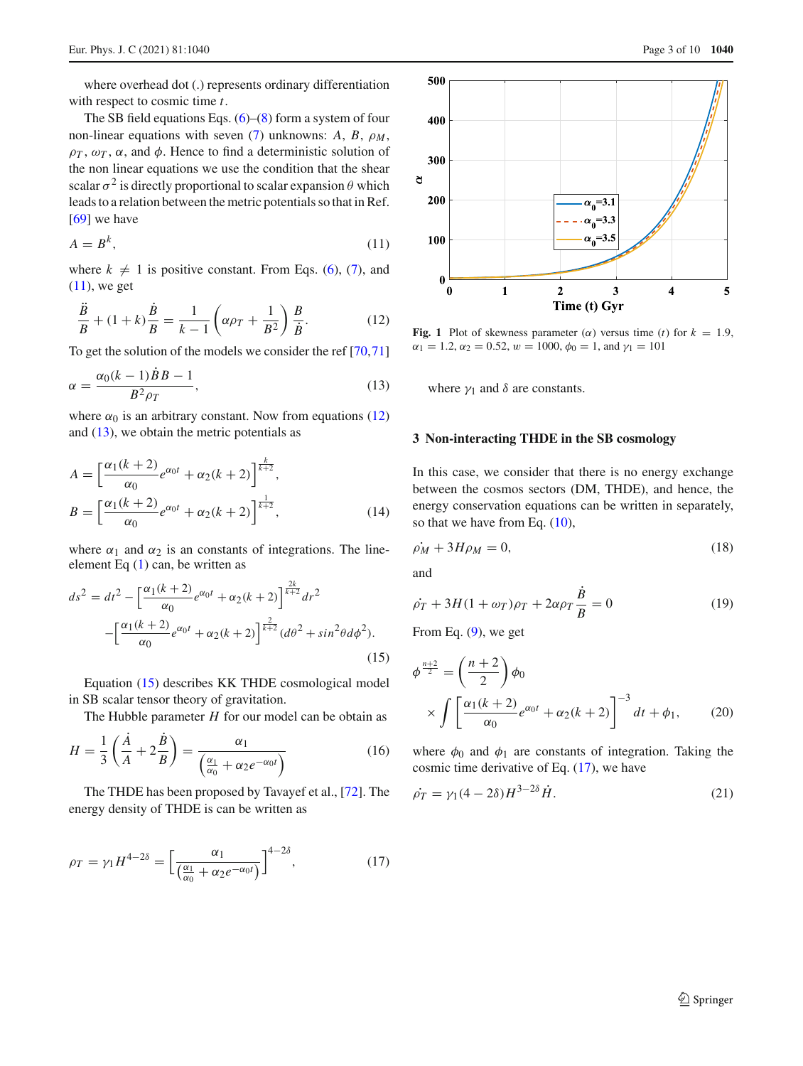where overhead dot (.) represents ordinary differentiation with respect to cosmic time *t*.

The SB field equations Eqs.  $(6)$ – $(8)$  form a system of four non-linear equations with seven [\(7\)](#page-1-4) unknowns:  $A$ ,  $B$ ,  $\rho_M$ ,  $\rho_T$ ,  $\omega_T$ ,  $\alpha$ , and  $\phi$ . Hence to find a deterministic solution of the non linear equations we use the condition that the shear scalar  $\sigma^2$  is directly proportional to scalar expansion  $\theta$  which leads to a relation between the metric potentials so that in Ref. [\[69](#page-9-44)] we have

<span id="page-2-1"></span>
$$
A = B^k,\tag{11}
$$

where  $k \neq 1$  is positive constant. From Eqs. [\(6\)](#page-1-4), [\(7\)](#page-1-4), and  $(11)$ , we get

<span id="page-2-2"></span>
$$
\frac{\ddot{B}}{B} + (1+k)\frac{\dot{B}}{B} = \frac{1}{k-1}\left(\alpha\rho_T + \frac{1}{B^2}\right)\frac{B}{\dot{B}}.
$$
 (12)

To get the solution of the models we consider the ref [\[70,](#page-9-45)[71\]](#page-9-46)

<span id="page-2-3"></span>
$$
\alpha = \frac{\alpha_0 (k-1) \dot{B} B - 1}{B^2 \rho_T},\tag{13}
$$

where  $\alpha_0$  is an arbitrary constant. Now from equations [\(12\)](#page-2-2) and  $(13)$ , we obtain the metric potentials as

$$
A = \left[\frac{\alpha_1(k+2)}{\alpha_0}e^{\alpha_0 t} + \alpha_2(k+2)\right]^{\frac{k}{k+2}},
$$
  
\n
$$
B = \left[\frac{\alpha_1(k+2)}{\alpha_0}e^{\alpha_0 t} + \alpha_2(k+2)\right]^{\frac{1}{k+2}},
$$
\n(14)

where  $\alpha_1$  and  $\alpha_2$  is an constants of integrations. The lineelement Eq [\(1\)](#page-1-1) can, be written as

<span id="page-2-4"></span>
$$
ds^{2} = dt^{2} - \left[\frac{\alpha_{1}(k+2)}{\alpha_{0}}e^{\alpha_{0}t} + \alpha_{2}(k+2)\right]^{\frac{2k}{k+2}}dr^{2}
$$

$$
-\left[\frac{\alpha_{1}(k+2)}{\alpha_{0}}e^{\alpha_{0}t} + \alpha_{2}(k+2)\right]^{\frac{2}{k+2}}(d\theta^{2} + \sin^{2}\theta d\phi^{2}).
$$
(15)

Equation [\(15\)](#page-2-4) describes KK THDE cosmological model in SB scalar tensor theory of gravitation.

The Hubble parameter *H* for our model can be obtain as

<span id="page-2-8"></span>
$$
H = \frac{1}{3} \left( \frac{\dot{A}}{A} + 2 \frac{\dot{B}}{B} \right) = \frac{\alpha_1}{\left( \frac{\alpha_1}{\alpha_0} + \alpha_2 e^{-\alpha_0 t} \right)} \tag{16}
$$

The THDE has been proposed by Tavayef et al., [\[72\]](#page-9-47). The energy density of THDE is can be written as

$$
\rho_T = \gamma_1 H^{4-2\delta} = \left[\frac{\alpha_1}{\left(\frac{\alpha_1}{\alpha_0} + \alpha_2 e^{-\alpha_0 t}\right)}\right]^{4-2\delta},\tag{17}
$$



<span id="page-2-10"></span>**Fig. 1** Plot of skewness parameter ( $\alpha$ ) versus time (*t*) for  $k = 1.9$ ,  $\alpha_1 = 1.2, \alpha_2 = 0.52, w = 1000, \phi_0 = 1, \text{ and } \gamma_1 = 101$ 

where  $\gamma_1$  and  $\delta$  are constants.

#### <span id="page-2-0"></span>**3 Non-interacting THDE in the SB cosmology**

<span id="page-2-6"></span>In this case, we consider that there is no energy exchange between the cosmos sectors (DM, THDE), and hence, the energy conservation equations can be written in separately, so that we have from Eq.  $(10)$ ,

$$
\dot{\rho_M} + 3H\rho_M = 0,\tag{18}
$$

and

<span id="page-2-9"></span>
$$
\dot{\rho}_T + 3H(1 + \omega_T)\rho_T + 2\alpha\rho_T \frac{\dot{B}}{B} = 0
$$
\n(19)

From Eq.  $(9)$ , we get

<span id="page-2-7"></span>
$$
\phi^{\frac{n+2}{2}} = \left(\frac{n+2}{2}\right)\phi_0
$$
  
 
$$
\times \int \left[\frac{\alpha_1(k+2)}{\alpha_0}e^{\alpha_0 t} + \alpha_2(k+2)\right]^{-3} dt + \phi_1,
$$
 (20)

where  $\phi_0$  and  $\phi_1$  are constants of integration. Taking the cosmic time derivative of Eq. [\(17\)](#page-2-5), we have

<span id="page-2-5"></span>
$$
\dot{\rho}_T = \gamma_1 (4 - 2\delta) H^{3 - 2\delta} \dot{H}.
$$
\n<sup>(21)</sup>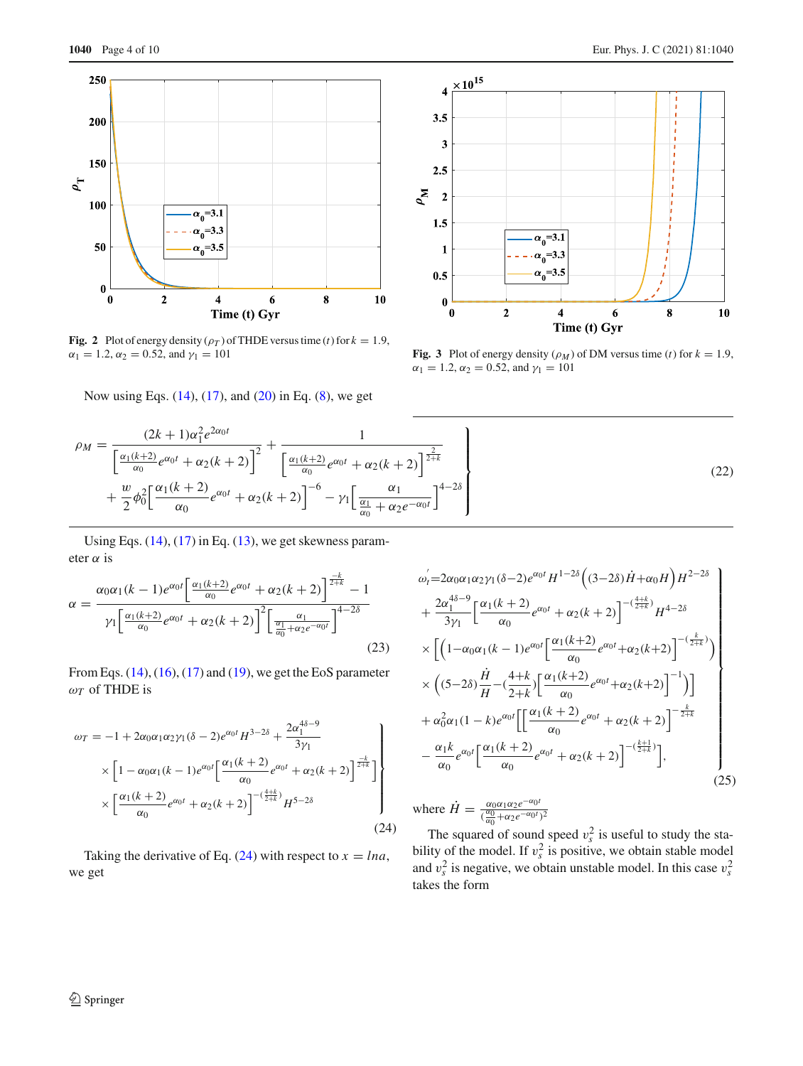

<span id="page-3-1"></span>**Fig. 2** Plot of energy density  $(\rho_T)$  of THDE versus time (*t*) for  $k = 1.9$ ,  $\alpha_1 = 1.2$ ,  $\alpha_2 = 0.52$ , and  $\gamma_1 = 101$ 

Now using Eqs. [\(14\)](#page-2-6), [\(17\)](#page-2-5), and [\(20\)](#page-2-7) in Eq. [\(8\)](#page-1-4), we get



<span id="page-3-2"></span>**Fig. 3** Plot of energy density  $(\rho_M)$  of DM versus time (*t*) for  $k = 1.9$ ,  $\alpha_1 = 1.2, \alpha_2 = 0.52, \text{ and } \gamma_1 = 101$ 

$$
\rho_M = \frac{(2k+1)\alpha_1^2 e^{2\alpha_0 t}}{\left[\frac{\alpha_1(k+2)}{\alpha_0}e^{\alpha_0 t} + \alpha_2(k+2)\right]^2} + \frac{1}{\left[\frac{\alpha_1(k+2)}{\alpha_0}e^{\alpha_0 t} + \alpha_2(k+2)\right]^{\frac{2}{2+k}}} + \frac{1}{\frac{\alpha_1(k+2)}{\alpha_0}e^{\alpha_0 t} + \alpha_2(k+2)\left[\frac{\alpha_1(k+2)}{\alpha_0}e^{\alpha_0 t} + \alpha_2(k+2)\right]^{\frac{2}{2+k}}}
$$
\n(22)

Using Eqs.  $(14)$ ,  $(17)$  in Eq.  $(13)$ , we get skewness parameter  $\alpha$  is

$$
\alpha = \frac{\alpha_0 \alpha_1 (k-1) e^{\alpha_0 t} \left[ \frac{\alpha_1 (k+2)}{\alpha_0} e^{\alpha_0 t} + \alpha_2 (k+2) \right]^{\frac{-k}{2+k}} - 1}{\gamma_1 \left[ \frac{\alpha_1 (k+2)}{\alpha_0} e^{\alpha_0 t} + \alpha_2 (k+2) \right]^2 \left[ \frac{\alpha_1}{\frac{\alpha_1}{\alpha_0} + \alpha_2 e^{-\alpha_0 t}} \right]^{4-2\delta}}
$$
\n(23)

From Eqs. [\(14\)](#page-2-6), [\(16\)](#page-2-8), [\(17\)](#page-2-5) and [\(19\)](#page-2-9), we get the EoS parameter  $\omega_T$  of THDE is

<span id="page-3-0"></span>
$$
\omega_{T} = -1 + 2\alpha_{0}\alpha_{1}\alpha_{2}\gamma_{1}(\delta - 2)e^{\alpha_{0}t}H^{3-2\delta} + \frac{2\alpha_{1}^{4\delta - 9}}{3\gamma_{1}}\n\times \left[1 - \alpha_{0}\alpha_{1}(k - 1)e^{\alpha_{0}t}\left[\frac{\alpha_{1}(k + 2)}{\alpha_{0}}e^{\alpha_{0}t} + \alpha_{2}(k + 2)\right]^{\frac{-k}{2+k}}\right]\n\times \left[\frac{\alpha_{1}(k + 2)}{\alpha_{0}}e^{\alpha_{0}t} + \alpha_{2}(k + 2)\right]^{-(\frac{4+k}{2+k})}H^{5-2\delta}
$$
\n(24)

Taking the derivative of Eq.  $(24)$  with respect to  $x = \ln a$ , we get

$$
\omega'_{1} = 2\alpha_{0}\alpha_{1}\alpha_{2}\gamma_{1}(\delta - 2)e^{\alpha_{0}t}H^{1-2\delta}\left((3-2\delta)\dot{H} + \alpha_{0}H\right)H^{2-2\delta} \n+ \frac{2\alpha_{1}^{4\delta-9}}{3\gamma_{1}}\left[\frac{\alpha_{1}(k+2)}{\alpha_{0}}e^{\alpha_{0}t} + \alpha_{2}(k+2)\right]^{-(\frac{4+k}{2+k})}H^{4-2\delta} \n\times\left[\left(1-\alpha_{0}\alpha_{1}(k-1)e^{\alpha_{0}t}\left[\frac{\alpha_{1}(k+2)}{\alpha_{0}}e^{\alpha_{0}t} + \alpha_{2}(k+2)\right]^{-(\frac{k}{2+k})}\right) \n\times\left((5-2\delta)\frac{\dot{H}}{H} - (\frac{4+k}{2+k})\left[\frac{\alpha_{1}(k+2)}{\alpha_{0}}e^{\alpha_{0}t} + \alpha_{2}(k+2)\right]^{-1}\right)\right] \n+ \alpha_{0}^{2}\alpha_{1}(1-k)e^{\alpha_{0}t}\left[\left[\frac{\alpha_{1}(k+2)}{\alpha_{0}}e^{\alpha_{0}t} + \alpha_{2}(k+2)\right]^{-\frac{k}{2+k}} \n- \frac{\alpha_{1}k}{\alpha_{0}}e^{\alpha_{0}t}\left[\frac{\alpha_{1}(k+2)}{\alpha_{0}}e^{\alpha_{0}t} + \alpha_{2}(k+2)\right]^{-(\frac{k+1}{2+k})}\right],
$$
\n(25)

where  $\dot{H} = \frac{\alpha_0 \alpha_1 \alpha_2 e^{-\alpha_0 t}}{(\frac{\alpha_0}{\alpha_0} + \alpha_2 e^{-\alpha_0 t})^2}$ 

The squared of sound speed  $v_s^2$  is useful to study the stability of the model. If  $v_s^2$  is positive, we obtain stable model and  $v_s^2$  is negative, we obtain unstable model. In this case  $v_s^2$ takes the form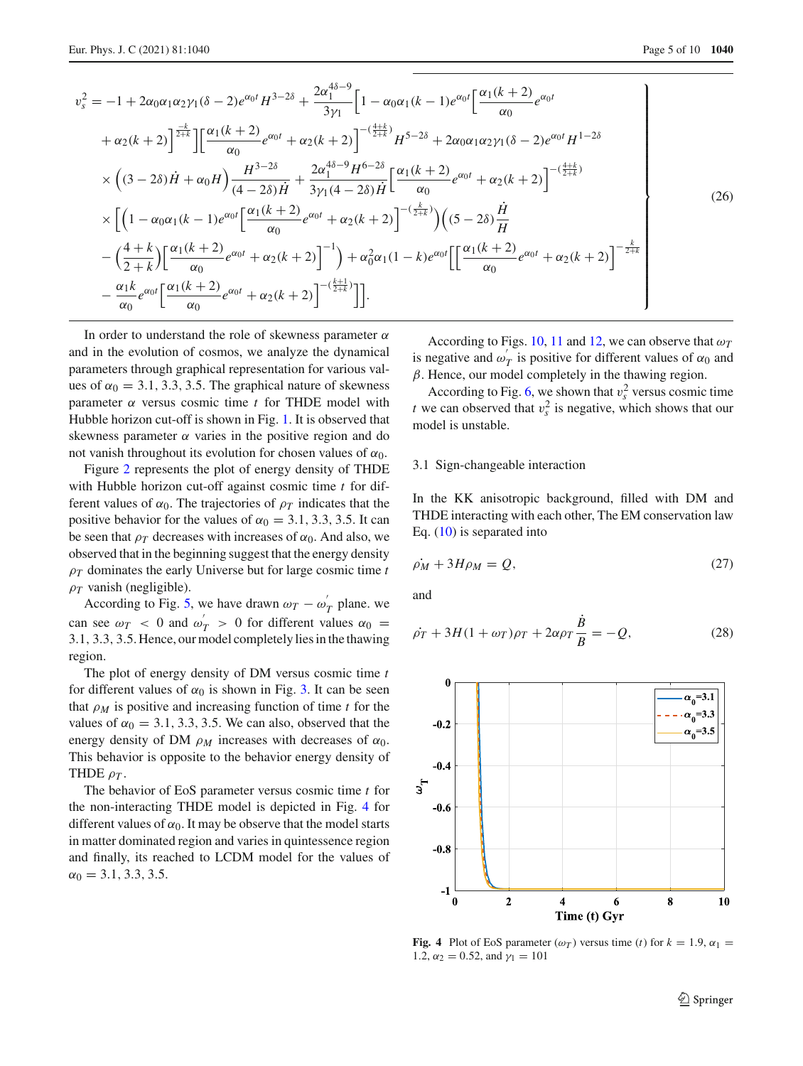$$
v_s^2 = -1 + 2\alpha_0 \alpha_1 \alpha_2 \gamma_1 (\delta - 2)e^{\alpha_0 t} H^{3-2\delta} + \frac{2\alpha_1^{4\delta - 9}}{3\gamma_1} \Big[ 1 - \alpha_0 \alpha_1 (k - 1)e^{\alpha_0 t} \Big[ \frac{\alpha_1 (k + 2)}{\alpha_0} e^{\alpha_0 t} + \alpha_2 (k + 2) \Big]^{2\frac{k}{2+k}} \Big] \Big[ \frac{\alpha_1 (k + 2)}{\alpha_0} e^{\alpha_0 t} + \alpha_2 (k + 2) \Big]^{-(\frac{4+k}{2+k})} H^{5-2\delta} + 2\alpha_0 \alpha_1 \alpha_2 \gamma_1 (\delta - 2)e^{\alpha_0 t} H^{1-2\delta} \Big] \times \Big( (3 - 2\delta) \dot{H} + \alpha_0 H \Big) \frac{H^{3-2\delta}}{(4 - 2\delta) \dot{H}} + \frac{2\alpha_1^{4\delta - 9} H^{6-2\delta}}{3\gamma_1 (4 - 2\delta) \dot{H}} \Big[ \frac{\alpha_1 (k + 2)}{\alpha_0} e^{\alpha_0 t} + \alpha_2 (k + 2) \Big]^{-(\frac{4+k}{2+k})} \times \Big[ \Big( 1 - \alpha_0 \alpha_1 (k - 1) e^{\alpha_0 t} \Big[ \frac{\alpha_1 (k + 2)}{\alpha_0} e^{\alpha_0 t} + \alpha_2 (k + 2) \Big]^{-(\frac{k}{2+k})} \Big) \Big( (5 - 2\delta) \frac{\dot{H}}{H} - \Big( \frac{4+k}{2+k} \Big) \Big[ \frac{\alpha_1 (k + 2)}{\alpha_0} e^{\alpha_0 t} + \alpha_2 (k + 2) \Big]^{-1} \Big) + \alpha_0^2 \alpha_1 (1 - k) e^{\alpha_0 t} \Big[ \Big[ \frac{\alpha_1 (k + 2)}{\alpha_0} e^{\alpha_0 t} + \alpha_2 (k + 2) \Big]^{-\frac{k}{2+k}} \Big] \times \frac{\alpha_1 k}{\alpha_0} e^{\alpha_0 t} \Big[ \frac{\alpha_1 (k + 2)}{\alpha_0} e^{\alpha_0 t} + \alpha_2 (k + 2) \Big]^{-\frac{k+1}{2+k}} \Big]
$$
(26)

In order to understand the role of skewness parameter  $\alpha$ and in the evolution of cosmos, we analyze the dynamical parameters through graphical representation for various values of  $\alpha_0 = 3.1, 3.3, 3.5$ . The graphical nature of skewness parameter  $\alpha$  versus cosmic time  $t$  for THDE model with Hubble horizon cut-off is shown in Fig. [1.](#page-2-10) It is observed that skewness parameter  $\alpha$  varies in the positive region and do not vanish throughout its evolution for chosen values of  $\alpha_0$ .

Figure [2](#page-3-1) represents the plot of energy density of THDE with Hubble horizon cut-off against cosmic time *t* for different values of  $\alpha_0$ . The trajectories of  $\rho_T$  indicates that the positive behavior for the values of  $\alpha_0 = 3.1, 3.3, 3.5$ . It can be seen that  $\rho_T$  decreases with increases of  $\alpha_0$ . And also, we observed that in the beginning suggest that the energy density ρ*<sup>T</sup>* dominates the early Universe but for large cosmic time *t*  $\rho_T$  vanish (negligible).

According to Fig. [5,](#page-5-0) we have drawn  $\omega_T - \omega'_T$  plane. we can see  $\omega_T$  < 0 and  $\omega'_T$  > 0 for different values  $\alpha_0$  = 3.1, 3.3, 3.5. Hence, our model completely lies in the thawing region.

The plot of energy density of DM versus cosmic time *t* for different values of  $\alpha_0$  is shown in Fig. [3.](#page-3-2) It can be seen that  $\rho_M$  is positive and increasing function of time *t* for the values of  $\alpha_0 = 3.1, 3.3, 3.5$ . We can also, observed that the energy density of DM  $\rho_M$  increases with decreases of  $\alpha_0$ . This behavior is opposite to the behavior energy density of THDE  $\rho_T$ .

The behavior of EoS parameter versus cosmic time *t* for the non-interacting THDE model is depicted in Fig. [4](#page-4-0) for different values of  $\alpha_0$ . It may be observe that the model starts in matter dominated region and varies in quintessence region and finally, its reached to LCDM model for the values of  $\alpha_0 = 3.1, 3.3, 3.5.$ 

According to Figs. [10,](#page-6-0) [11](#page-6-1) and [12,](#page-6-2) we can observe that  $\omega_T$ is negative and  $\omega'_T$  is positive for different values of  $\alpha_0$  and  $\beta$ . Hence, our model completely in the thawing region.

According to Fig. [6,](#page-5-1) we shown that  $v_s^2$  versus cosmic time *t* we can observed that  $v_s^2$  is negative, which shows that our model is unstable.

### 3.1 Sign-changeable interaction

In the KK anisotropic background, filled with DM and THDE interacting with each other, The EM conservation law Eq.  $(10)$  is separated into

$$
\dot{\rho_M} + 3H\rho_M = Q,\tag{27}
$$

and

$$
\dot{\rho_T} + 3H(1 + \omega_T)\rho_T + 2\alpha\rho_T \frac{\dot{B}}{B} = -Q,\tag{28}
$$



<span id="page-4-0"></span>**Fig. 4** Plot of EoS parameter  $(\omega_T)$  versus time (*t*) for  $k = 1.9$ ,  $\alpha_1 =$ 1.2,  $\alpha_2 = 0.52$ , and  $\gamma_1 = 101$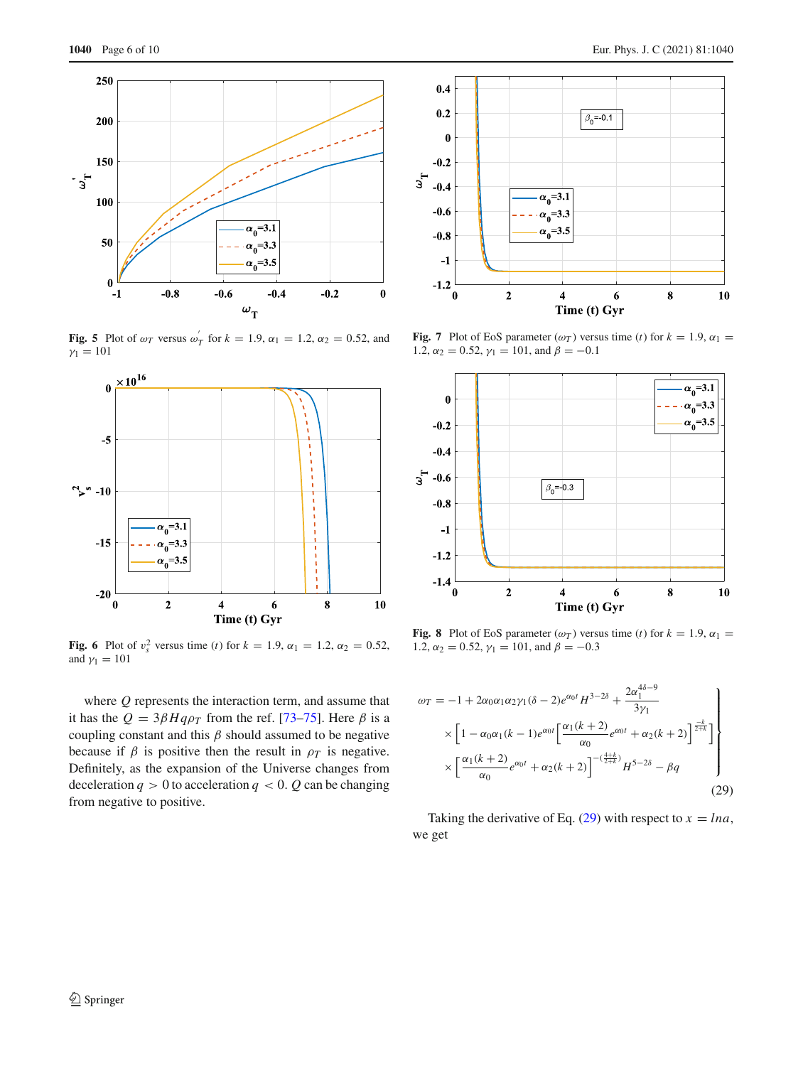

<span id="page-5-0"></span>**Fig. 5** Plot of  $\omega_T$  versus  $\omega'_T$  for  $k = 1.9$ ,  $\alpha_1 = 1.2$ ,  $\alpha_2 = 0.52$ , and  $y_1 = 101$ 



<span id="page-5-1"></span>**Fig. 6** Plot of  $v_s^2$  versus time (*t*) for  $k = 1.9$ ,  $\alpha_1 = 1.2$ ,  $\alpha_2 = 0.52$ , and  $\gamma_1 = 101$ 

where *Q* represents the interaction term, and assume that it has the  $Q = 3\beta H q \rho_T$  from the ref. [\[73](#page-9-48)[–75](#page-9-49)]. Here  $\beta$  is a coupling constant and this  $\beta$  should assumed to be negative because if  $\beta$  is positive then the result in  $\rho_T$  is negative. Definitely, as the expansion of the Universe changes from deceleration  $q > 0$  to acceleration  $q < 0$ . Q can be changing from negative to positive.



<span id="page-5-3"></span>**Fig. 7** Plot of EoS parameter ( $\omega_T$ ) versus time (*t*) for  $k = 1.9$ ,  $\alpha_1 =$ 1.2,  $\alpha_2 = 0.52$ ,  $\gamma_1 = 101$ , and  $\beta = -0.1$ 



<span id="page-5-4"></span>**Fig. 8** Plot of EoS parameter  $(\omega_T)$  versus time (*t*) for  $k = 1.9$ ,  $\alpha_1 =$ 1.2,  $\alpha_2 = 0.52$ ,  $\gamma_1 = 101$ , and  $\beta = -0.3$ 

<span id="page-5-2"></span>
$$
\omega_T = -1 + 2\alpha_0 \alpha_1 \alpha_2 \gamma_1 (\delta - 2) e^{\alpha_0 t} H^{3-2\delta} + \frac{2\alpha_1^{4\delta - 9}}{3\gamma_1} \times \left[ 1 - \alpha_0 \alpha_1 (k - 1) e^{\alpha_0 t} \left[ \frac{\alpha_1 (k + 2)}{\alpha_0} e^{\alpha_0 t} + \alpha_2 (k + 2) \right]^{\frac{-k}{2+k}} \right] \times \left[ \frac{\alpha_1 (k + 2)}{\alpha_0} e^{\alpha_0 t} + \alpha_2 (k + 2) \right]^{-(\frac{4+k}{2+k})} H^{5-2\delta} - \beta q \tag{29}
$$

Taking the derivative of Eq.  $(29)$  with respect to  $x = \ln a$ , we get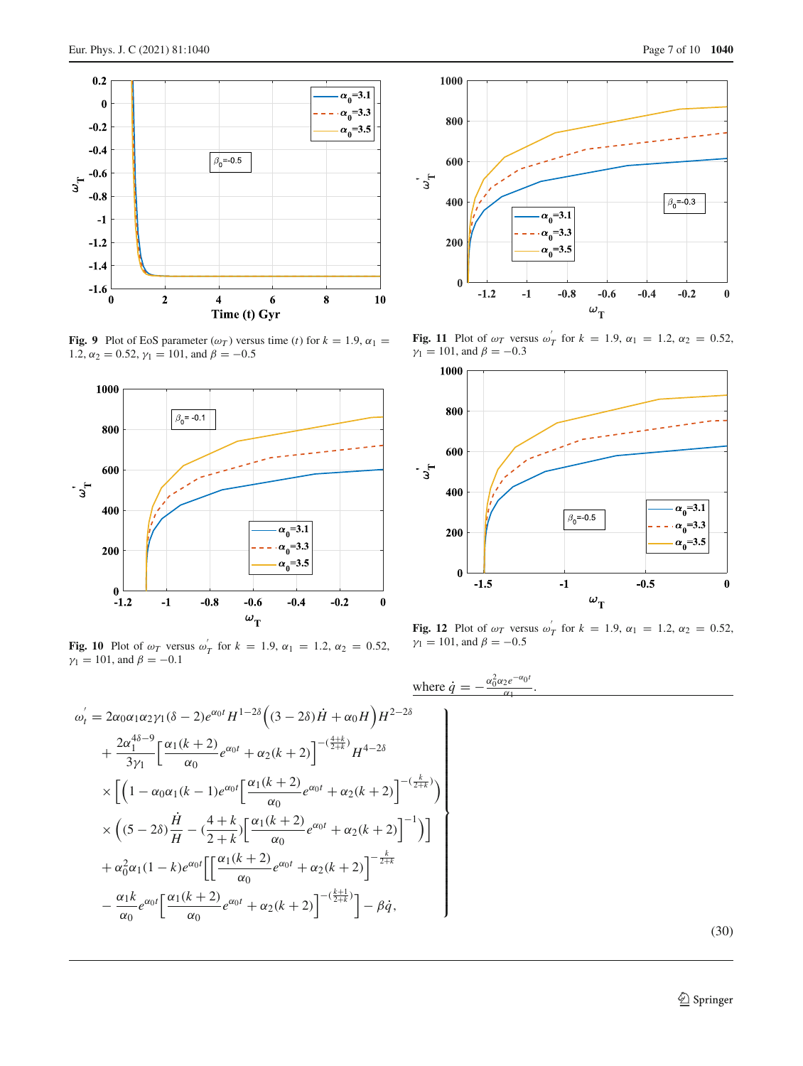

<span id="page-6-3"></span>**Fig. 9** Plot of EoS parameter ( $\omega_T$ ) versus time (*t*) for  $k = 1.9$ ,  $\alpha_1 =$ 1.2,  $\alpha_2 = 0.52$ ,  $\gamma_1 = 101$ , and  $\beta = -0.5$ 



<span id="page-6-0"></span>Fig. 10 Plot of  $\omega_T$  versus  $\omega'_T$  for  $k = 1.9$ ,  $\alpha_1 = 1.2$ ,  $\alpha_2 = 0.52$ ,  $\gamma_1 = 101$ , and  $\beta = -0.1$ 





<span id="page-6-1"></span>**Fig. 11** Plot of  $\omega_T$  versus  $\omega'_T$  for  $k = 1.9$ ,  $\alpha_1 = 1.2$ ,  $\alpha_2 = 0.52$ ,  $\gamma_1 = 101$ , and  $\beta = -0.3$ 



<span id="page-6-2"></span>**Fig. 12** Plot of  $\omega_T$  versus  $\omega'_T$  for  $k = 1.9$ ,  $\alpha_1 = 1.2$ ,  $\alpha_2 = 0.52$ ,  $\gamma_1 = 101$ , and  $\beta = -0.5$ 

where 
$$
\dot{q} = -\frac{\alpha_0^2 \alpha_2 e^{-\alpha_0 t}}{\alpha_1}
$$
.

(30)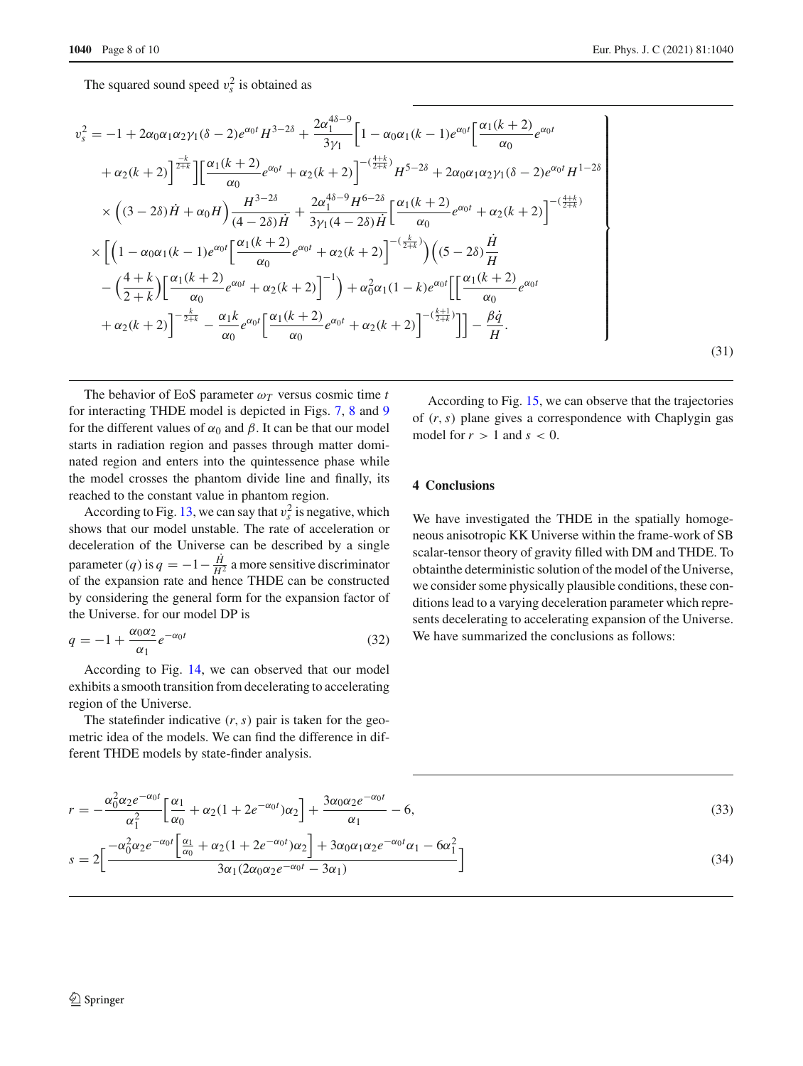The squared sound speed  $v_s^2$  is obtained as

$$
v_s^2 = -1 + 2\alpha_0 \alpha_1 \alpha_2 \gamma_1 (\delta - 2)e^{\alpha_0 t} H^{3-2\delta} + \frac{2\alpha_1^{4\delta - 9}}{3\gamma_1} \Big[ 1 - \alpha_0 \alpha_1 (k - 1)e^{\alpha_0 t} \Big[ \frac{\alpha_1 (k + 2)}{\alpha_0} e^{\alpha_0 t} + \alpha_2 (k + 2) \Big]^{2 + k} \Big] \Big[ \frac{\alpha_1 (k + 2)}{\alpha_0} e^{\alpha_0 t} + \alpha_2 (k + 2) \Big]^{-(\frac{4 + k}{2 + k})} H^{5-2\delta} + 2\alpha_0 \alpha_1 \alpha_2 \gamma_1 (\delta - 2)e^{\alpha_0 t} H^{1-2\delta} \Big] \times \Big( (3 - 2\delta) \dot{H} + \alpha_0 H \Big) \frac{H^{3-2\delta}}{(4 - 2\delta) \dot{H}} + \frac{2\alpha_1^{4\delta - 9} H^{6-2\delta}}{3\gamma_1 (4 - 2\delta) \dot{H}} \Big[ \frac{\alpha_1 (k + 2)}{\alpha_0} e^{\alpha_0 t} + \alpha_2 (k + 2) \Big]^{-(\frac{4 + k}{2 + k})} \times \Big[ \Big( 1 - \alpha_0 \alpha_1 (k - 1)e^{\alpha_0 t} \Big[ \frac{\alpha_1 (k + 2)}{\alpha_0} e^{\alpha_0 t} + \alpha_2 (k + 2) \Big]^{-(\frac{k}{2 + k})} \Big) \Big( (5 - 2\delta) \frac{\dot{H}}{H} - \Big( \frac{4 + k}{2 + k} \Big) \Big[ \frac{\alpha_1 (k + 2)}{\alpha_0} e^{\alpha_0 t} + \alpha_2 (k + 2) \Big]^{-1} \Big) + \alpha_0^2 \alpha_1 (1 - k)e^{\alpha_0 t} \Big[ \Big[ \frac{\alpha_1 (k + 2)}{\alpha_0} e^{\alpha_0 t} + \alpha_2 (k + 2) \Big]^{-\frac{k}{2 + k}} \Big] \Big] - \frac{\dot{\beta} \dot{q}}{\alpha_0} . \tag{31}
$$

The behavior of EoS parameter  $\omega_T$  versus cosmic time *t* for interacting THDE model is depicted in Figs. [7,](#page-5-3) [8](#page-5-4) and [9](#page-6-3) for the different values of  $\alpha_0$  and  $\beta$ . It can be that our model starts in radiation region and passes through matter dominated region and enters into the quintessence phase while the model crosses the phantom divide line and finally, its reached to the constant value in phantom region.

According to Fig. [13,](#page-8-0) we can say that  $v_s^2$  is negative, which shows that our model unstable. The rate of acceleration or deceleration of the Universe can be described by a single parameter (*q*) is  $q = -1 - \frac{H}{H^2}$  a more sensitive discriminator of the expansion rate and hence THDE can be constructed by considering the general form for the expansion factor of the Universe. for our model DP is

$$
q = -1 + \frac{\alpha_0 \alpha_2}{\alpha_1} e^{-\alpha_0 t} \tag{32}
$$

According to Fig. [14,](#page-8-1) we can observed that our model exhibits a smooth transition from decelerating to accelerating region of the Universe.

The statefinder indicative (*r*,*s*) pair is taken for the geometric idea of the models. We can find the difference in different THDE models by state-finder analysis.

According to Fig. [15,](#page-8-2) we can observe that the trajectories of (*r*,*s*) plane gives a correspondence with Chaplygin gas model for  $r > 1$  and  $s < 0$ .

## **4 Conclusions**

We have investigated the THDE in the spatially homogeneous anisotropic KK Universe within the frame-work of SB scalar-tensor theory of gravity filled with DM and THDE. To obtainthe deterministic solution of the model of the Universe, we consider some physically plausible conditions, these conditions lead to a varying deceleration parameter which represents decelerating to accelerating expansion of the Universe. We have summarized the conclusions as follows:

$$
r = -\frac{\alpha_0^2 \alpha_2 e^{-\alpha_0 t}}{\alpha_1^2} \left[ \frac{\alpha_1}{\alpha_0} + \alpha_2 (1 + 2e^{-\alpha_0 t}) \alpha_2 \right] + \frac{3\alpha_0 \alpha_2 e^{-\alpha_0 t}}{\alpha_1} - 6,
$$
\n
$$
s = 2 \left[ \frac{-\alpha_0^2 \alpha_2 e^{-\alpha_0 t} \left[ \frac{\alpha_1}{\alpha_0} + \alpha_2 (1 + 2e^{-\alpha_0 t}) \alpha_2 \right] + 3\alpha_0 \alpha_1 \alpha_2 e^{-\alpha_0 t} \alpha_1 - 6\alpha_1^2}{3\alpha_1 (2\alpha_0 \alpha_2 e^{-\alpha_0 t} - 3\alpha_1)} \right]
$$
\n(34)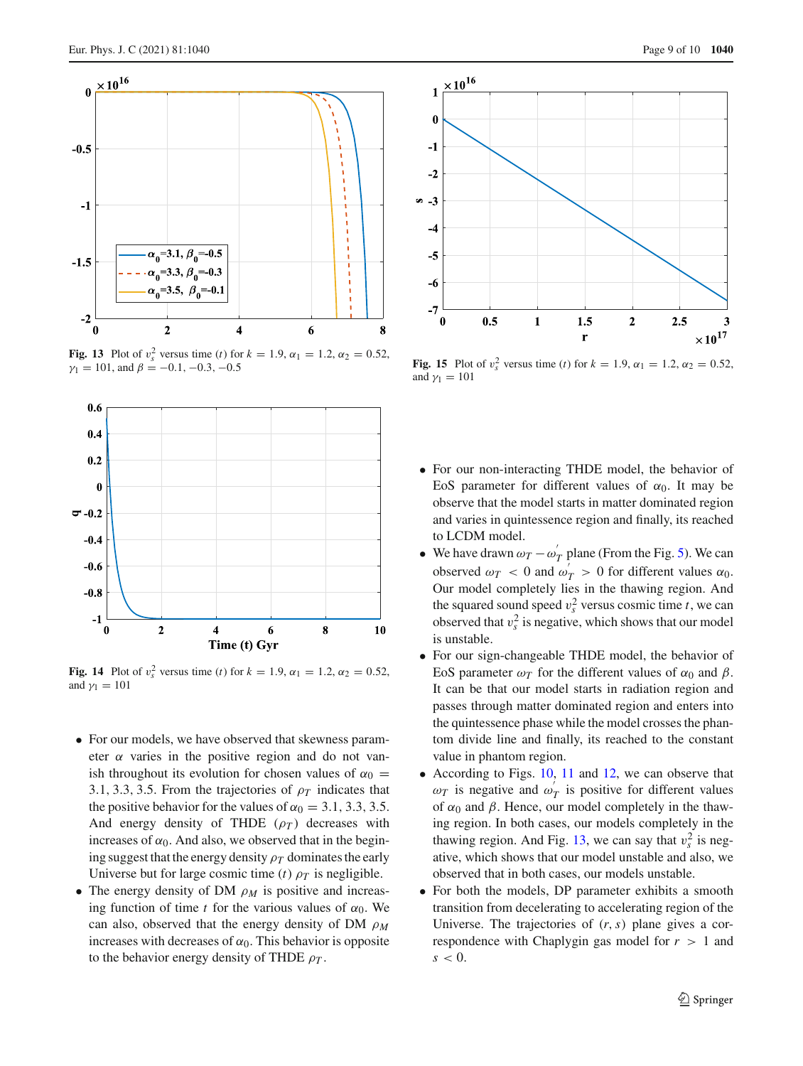

<span id="page-8-0"></span>**Fig. 13** Plot of  $v_s^2$  versus time (*t*) for  $k = 1.9$ ,  $\alpha_1 = 1.2$ ,  $\alpha_2 = 0.52$ ,  $\gamma_1 = 101$ , and  $\beta = -0.1, -0.3, -0.5$ 



<span id="page-8-1"></span>**Fig. 14** Plot of  $v_s^2$  versus time (*t*) for  $k = 1.9$ ,  $\alpha_1 = 1.2$ ,  $\alpha_2 = 0.52$ , and  $\gamma_1 = 101$ 

- For our models, we have observed that skewness parameter  $\alpha$  varies in the positive region and do not vanish throughout its evolution for chosen values of  $\alpha_0 =$ 3.1, 3.3, 3.5. From the trajectories of  $\rho_T$  indicates that the positive behavior for the values of  $\alpha_0 = 3.1, 3.3, 3.5$ . And energy density of THDE  $(\rho_T)$  decreases with increases of  $\alpha_0$ . And also, we observed that in the begining suggest that the energy density  $\rho_T$  dominates the early Universe but for large cosmic time (*t*)  $\rho_T$  is negligible.
- The energy density of DM  $ρ_M$  is positive and increasing function of time *t* for the various values of  $\alpha_0$ . We can also, observed that the energy density of DM ρ*M* increases with decreases of  $\alpha_0$ . This behavior is opposite to the behavior energy density of THDE  $\rho_T$ .



<span id="page-8-2"></span>**Fig. 15** Plot of  $v_s^2$  versus time (*t*) for  $k = 1.9$ ,  $\alpha_1 = 1.2$ ,  $\alpha_2 = 0.52$ , and  $\gamma_1 = 101$ 

- For our non-interacting THDE model, the behavior of EoS parameter for different values of  $\alpha_0$ . It may be observe that the model starts in matter dominated region and varies in quintessence region and finally, its reached to LCDM model.
- We have drawn  $\omega_T \omega'_T$  plane (From the Fig. [5\)](#page-5-0). We can observed  $\omega_T < 0$  and  $\omega_T > 0$  for different values  $\alpha_0$ . Our model completely lies in the thawing region. And the squared sound speed  $v_s^2$  versus cosmic time *t*, we can observed that  $v_s^2$  is negative, which shows that our model is unstable.
- For our sign-changeable THDE model, the behavior of EoS parameter  $\omega_T$  for the different values of  $\alpha_0$  and  $\beta$ . It can be that our model starts in radiation region and passes through matter dominated region and enters into the quintessence phase while the model crosses the phantom divide line and finally, its reached to the constant value in phantom region.
- According to Figs. [10,](#page-6-0) [11](#page-6-1) and [12,](#page-6-2) we can observe that  $\omega_T$  is negative and  $\omega'_T$  is positive for different values of  $\alpha_0$  and  $\beta$ . Hence, our model completely in the thawing region. In both cases, our models completely in the thawing region. And Fig. [13,](#page-8-0) we can say that  $v_s^2$  is negative, which shows that our model unstable and also, we observed that in both cases, our models unstable.
- For both the models, DP parameter exhibits a smooth transition from decelerating to accelerating region of the Universe. The trajectories of (*r*,*s*) plane gives a correspondence with Chaplygin gas model for *r* > 1 and  $s < 0$ .